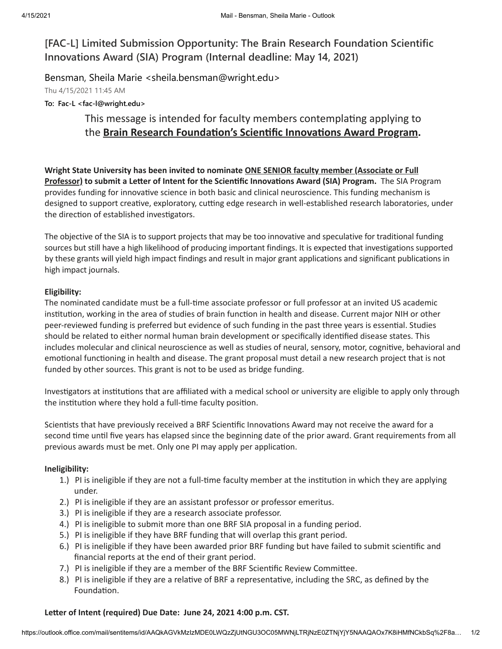**[FAC-L] Limited Submission Opportunity: The Brain Research Foundation Scientific Innovations Award (SIA) Program (Internal deadline: May 14, 2021)**

Bensman, Sheila Marie <sheila.bensman@wright.edu>

Thu 4/15/2021 11:45 AM

**To: Fac-L <fac-l@wright.edu>**

# This message is intended for faculty members contemplating applying to **the Brain Research Foundation's Scientific Innovations Award Program.**

**Wright State University has been invited to nominate ONE SENIOR faculty member (Associate or Full Professor)** to submit a Letter of Intent for the Scientific Innovations Award (SIA) Program. The SIA Program provides funding for innovative science in both basic and clinical neuroscience. This funding mechanism is designed to support creative, exploratory, cutting edge research in well-established research laboratories, under the direction of established investigators.

The objective of the SIA is to support projects that may be too innovative and speculative for traditional funding sources but still have a high likelihood of producing important findings. It is expected that investigations supported by these grants will yield high impact findings and result in major grant applications and significant publications in high impact journals.

## **Eligibility:**

The nominated candidate must be a full-time associate professor or full professor at an invited US academic institution, working in the area of studies of brain function in health and disease. Current major NIH or other peer-reviewed funding is preferred but evidence of such funding in the past three years is essential. Studies should be related to either normal human brain development or specifically idenfied disease states. This includes molecular and clinical neuroscience as well as studies of neural, sensory, motor, cognitive, behavioral and emotional functioning in health and disease. The grant proposal must detail a new research project that is not funded by other sources. This grant is not to be used as bridge funding.

Investigators at institutions that are affiliated with a medical school or university are eligible to apply only through the institution where they hold a full-time faculty position.

Scientists that have previously received a BRF Scientific Innovations Award may not receive the award for a second time until five years has elapsed since the beginning date of the prior award. Grant requirements from all previous awards must be met. Only one PI may apply per application.

## **Ineligibility:**

- 1.) PI is ineligible if they are not a full-time faculty member at the institution in which they are applying under.
- 2.) PI is ineligible if they are an assistant professor or professor emeritus.
- 3.) PI is ineligible if they are a research associate professor.
- 4.) PI is ineligible to submit more than one BRF SIA proposal in a funding period.
- 5.) PI is ineligible if they have BRF funding that will overlap this grant period.
- 6.) PI is ineligible if they have been awarded prior BRF funding but have failed to submit scienfic and financial reports at the end of their grant period.
- 7.) PI is ineligible if they are a member of the BRF Scientific Review Committee.
- 8.) PI is ineligible if they are a relative of BRF a representative, including the SRC, as defined by the Foundation.

## **Leer of Intent (required) Due Date: June 24, 2021 4:00 p.m. CST.**